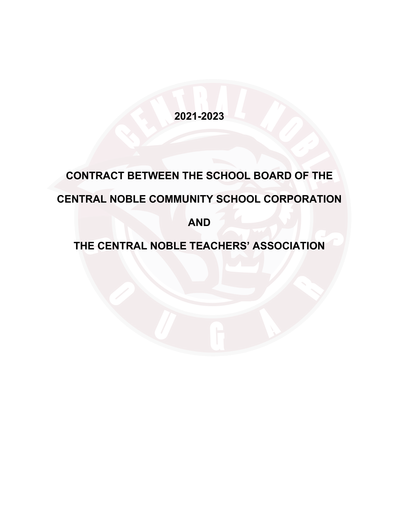**2021-2023**

# **CONTRACT BETWEEN THE SCHOOL BOARD OF THE CENTRAL NOBLE COMMUNITY SCHOOL CORPORATION**

**AND**

# **THE CENTRAL NOBLE TEACHERS' ASSOCIATION**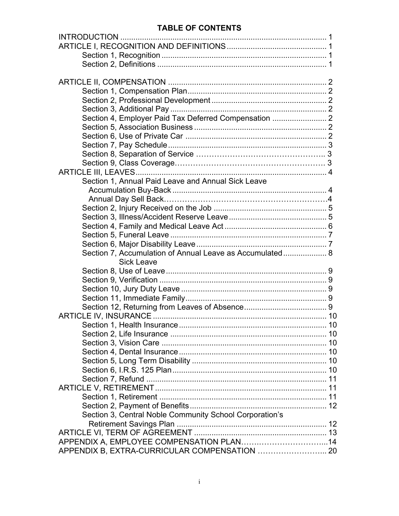# **TABLE OF CONTENTS**

| Section 4, Employer Paid Tax Deferred Compensation  2    |  |
|----------------------------------------------------------|--|
|                                                          |  |
|                                                          |  |
|                                                          |  |
|                                                          |  |
|                                                          |  |
|                                                          |  |
| Section 1, Annual Paid Leave and Annual Sick Leave       |  |
|                                                          |  |
|                                                          |  |
|                                                          |  |
|                                                          |  |
|                                                          |  |
|                                                          |  |
|                                                          |  |
| Section 7, Accumulation of Annual Leave as Accumulated 8 |  |
| <b>Sick Leave</b>                                        |  |
|                                                          |  |
|                                                          |  |
|                                                          |  |
|                                                          |  |
|                                                          |  |
|                                                          |  |
|                                                          |  |
|                                                          |  |
|                                                          |  |
|                                                          |  |
|                                                          |  |
|                                                          |  |
|                                                          |  |
|                                                          |  |
|                                                          |  |
|                                                          |  |
| Section 3, Central Noble Community School Corporation's  |  |
|                                                          |  |
|                                                          |  |
|                                                          |  |
| APPENDIX B, EXTRA-CURRICULAR COMPENSATION  20            |  |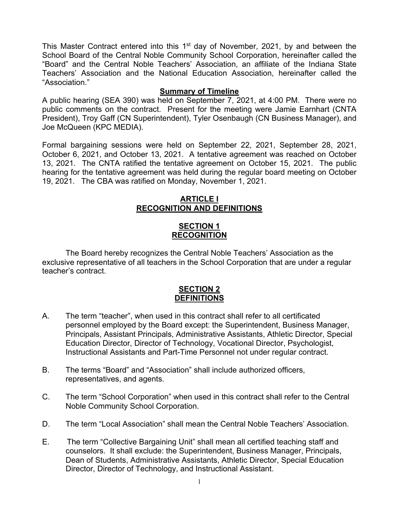This Master Contract entered into this 1<sup>st</sup> day of November, 2021, by and between the School Board of the Central Noble Community School Corporation, hereinafter called the "Board" and the Central Noble Teachers' Association, an affiliate of the Indiana State Teachers' Association and the National Education Association, hereinafter called the "Association."

#### **Summary of Timeline**

A public hearing (SEA 390) was held on September 7, 2021, at 4:00 PM. There were no public comments on the contract. Present for the meeting were Jamie Earnhart (CNTA President), Troy Gaff (CN Superintendent), Tyler Osenbaugh (CN Business Manager), and Joe McQueen (KPC MEDIA).

Formal bargaining sessions were held on September 22, 2021, September 28, 2021, October 6, 2021, and October 13, 2021. A tentative agreement was reached on October 13, 2021. The CNTA ratified the tentative agreement on October 15, 2021. The public hearing for the tentative agreement was held during the regular board meeting on October 19, 2021. The CBA was ratified on Monday, November 1, 2021.

#### **ARTICLE I RECOGNITION AND DEFINITIONS**

# **SECTION 1 RECOGNITION**

The Board hereby recognizes the Central Noble Teachers' Association as the exclusive representative of all teachers in the School Corporation that are under a regular teacher's contract.

#### **SECTION 2 DEFINITIONS**

- A. The term "teacher", when used in this contract shall refer to all certificated personnel employed by the Board except: the Superintendent, Business Manager, Principals, Assistant Principals, Administrative Assistants, Athletic Director, Special Education Director, Director of Technology, Vocational Director, Psychologist, Instructional Assistants and Part-Time Personnel not under regular contract.
- B. The terms "Board" and "Association" shall include authorized officers, representatives, and agents.
- C. The term "School Corporation" when used in this contract shall refer to the Central Noble Community School Corporation.
- D. The term "Local Association" shall mean the Central Noble Teachers' Association.
- E. The term "Collective Bargaining Unit" shall mean all certified teaching staff and counselors. It shall exclude: the Superintendent, Business Manager, Principals, Dean of Students, Administrative Assistants, Athletic Director, Special Education Director, Director of Technology, and Instructional Assistant.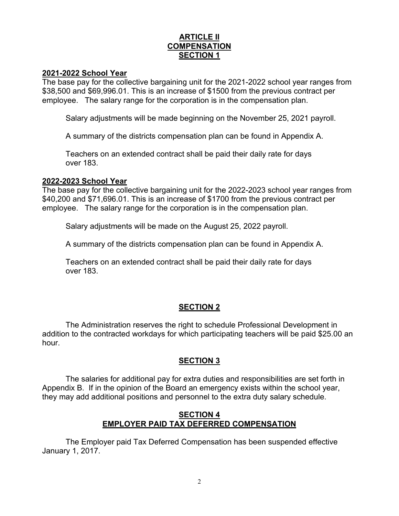#### **ARTICLE II COMPENSATION SECTION 1**

#### **2021-2022 School Year**

The base pay for the collective bargaining unit for the 2021-2022 school year ranges from \$38,500 and \$69,996.01. This is an increase of \$1500 from the previous contract per employee. The salary range for the corporation is in the compensation plan.

Salary adjustments will be made beginning on the November 25, 2021 payroll.

A summary of the districts compensation plan can be found in Appendix A.

Teachers on an extended contract shall be paid their daily rate for days over 183.

#### **2022-2023 School Year**

The base pay for the collective bargaining unit for the 2022-2023 school year ranges from \$40,200 and \$71,696.01. This is an increase of \$1700 from the previous contract per employee. The salary range for the corporation is in the compensation plan.

Salary adjustments will be made on the August 25, 2022 payroll.

A summary of the districts compensation plan can be found in Appendix A.

Teachers on an extended contract shall be paid their daily rate for days over 183.

#### **SECTION 2**

The Administration reserves the right to schedule Professional Development in addition to the contracted workdays for which participating teachers will be paid \$25.00 an hour.

# **SECTION 3**

The salaries for additional pay for extra duties and responsibilities are set forth in Appendix B. If in the opinion of the Board an emergency exists within the school year, they may add additional positions and personnel to the extra duty salary schedule.

# **SECTION 4 EMPLOYER PAID TAX DEFERRED COMPENSATION**

The Employer paid Tax Deferred Compensation has been suspended effective January 1, 2017.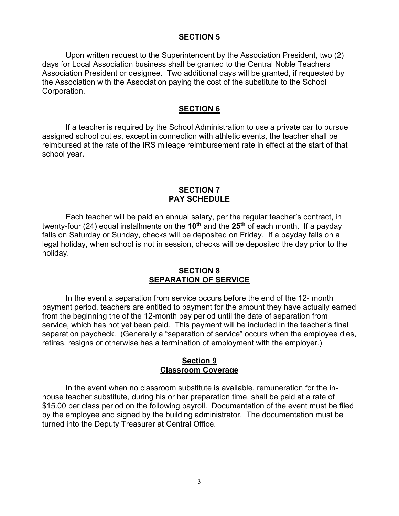#### **SECTION 5**

Upon written request to the Superintendent by the Association President, two (2) days for Local Association business shall be granted to the Central Noble Teachers Association President or designee. Two additional days will be granted, if requested by the Association with the Association paying the cost of the substitute to the School Corporation.

#### **SECTION 6**

If a teacher is required by the School Administration to use a private car to pursue assigned school duties, except in connection with athletic events, the teacher shall be reimbursed at the rate of the IRS mileage reimbursement rate in effect at the start of that school year.

#### **SECTION 7 PAY SCHEDULE**

Each teacher will be paid an annual salary, per the regular teacher's contract, in twenty-four (24) equal installments on the **10th** and the **25th** of each month. If a payday falls on Saturday or Sunday, checks will be deposited on Friday. If a payday falls on a legal holiday, when school is not in session, checks will be deposited the day prior to the holiday.

#### **SECTION 8 SEPARATION OF SERVICE**

In the event a separation from service occurs before the end of the 12- month payment period, teachers are entitled to payment for the amount they have actually earned from the beginning the of the 12-month pay period until the date of separation from service, which has not yet been paid. This payment will be included in the teacher's final separation paycheck. (Generally a "separation of service" occurs when the employee dies, retires, resigns or otherwise has a termination of employment with the employer.)

#### **Section 9 Classroom Coverage**

In the event when no classroom substitute is available, remuneration for the inhouse teacher substitute, during his or her preparation time, shall be paid at a rate of \$15.00 per class period on the following payroll. Documentation of the event must be filed by the employee and signed by the building administrator. The documentation must be turned into the Deputy Treasurer at Central Office.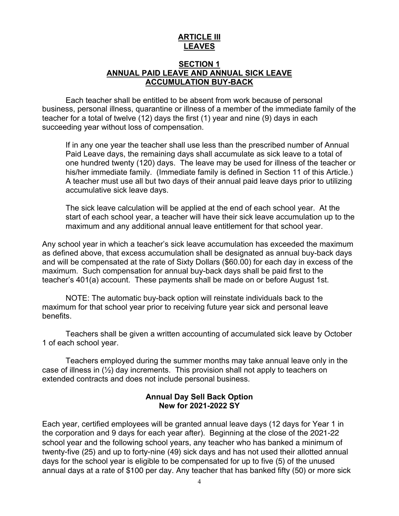# **ARTICLE III LEAVES**

#### **SECTION 1 ANNUAL PAID LEAVE AND ANNUAL SICK LEAVE ACCUMULATION BUY-BACK**

Each teacher shall be entitled to be absent from work because of personal business, personal illness, quarantine or illness of a member of the immediate family of the teacher for a total of twelve (12) days the first (1) year and nine (9) days in each succeeding year without loss of compensation.

If in any one year the teacher shall use less than the prescribed number of Annual Paid Leave days, the remaining days shall accumulate as sick leave to a total of one hundred twenty (120) days. The leave may be used for illness of the teacher or his/her immediate family. (Immediate family is defined in Section 11 of this Article.) A teacher must use all but two days of their annual paid leave days prior to utilizing accumulative sick leave days.

The sick leave calculation will be applied at the end of each school year. At the start of each school year, a teacher will have their sick leave accumulation up to the maximum and any additional annual leave entitlement for that school year.

Any school year in which a teacher's sick leave accumulation has exceeded the maximum as defined above, that excess accumulation shall be designated as annual buy-back days and will be compensated at the rate of Sixty Dollars (\$60.00) for each day in excess of the maximum. Such compensation for annual buy-back days shall be paid first to the teacher's 401(a) account. These payments shall be made on or before August 1st.

NOTE: The automatic buy-back option will reinstate individuals back to the maximum for that school year prior to receiving future year sick and personal leave benefits.

Teachers shall be given a written accounting of accumulated sick leave by October 1 of each school year.

Teachers employed during the summer months may take annual leave only in the case of illness in  $(\frac{1}{2})$  day increments. This provision shall not apply to teachers on extended contracts and does not include personal business.

#### **Annual Day Sell Back Option New for 2021-2022 SY**

Each year, certified employees will be granted annual leave days (12 days for Year 1 in the corporation and 9 days for each year after). Beginning at the close of the 2021-22 school year and the following school years, any teacher who has banked a minimum of twenty-five (25) and up to forty-nine (49) sick days and has not used their allotted annual days for the school year is eligible to be compensated for up to five (5) of the unused annual days at a rate of \$100 per day. Any teacher that has banked fifty (50) or more sick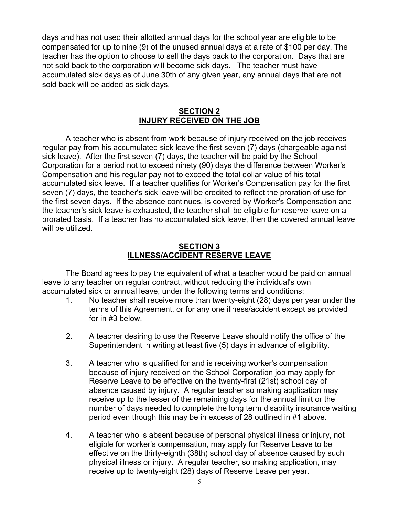days and has not used their allotted annual days for the school year are eligible to be compensated for up to nine (9) of the unused annual days at a rate of \$100 per day. The teacher has the option to choose to sell the days back to the corporation. Days that are not sold back to the corporation will become sick days. The teacher must have accumulated sick days as of June 30th of any given year, any annual days that are not sold back will be added as sick days.

#### **SECTION 2 INJURY RECEIVED ON THE JOB**

A teacher who is absent from work because of injury received on the job receives regular pay from his accumulated sick leave the first seven (7) days (chargeable against sick leave). After the first seven (7) days, the teacher will be paid by the School Corporation for a period not to exceed ninety (90) days the difference between Worker's Compensation and his regular pay not to exceed the total dollar value of his total accumulated sick leave. If a teacher qualifies for Worker's Compensation pay for the first seven (7) days, the teacher's sick leave will be credited to reflect the proration of use for the first seven days. If the absence continues, is covered by Worker's Compensation and the teacher's sick leave is exhausted, the teacher shall be eligible for reserve leave on a prorated basis. If a teacher has no accumulated sick leave, then the covered annual leave will be utilized.

#### **SECTION 3 ILLNESS/ACCIDENT RESERVE LEAVE**

The Board agrees to pay the equivalent of what a teacher would be paid on annual leave to any teacher on regular contract, without reducing the individual's own accumulated sick or annual leave, under the following terms and conditions:

- 1. No teacher shall receive more than twenty-eight (28) days per year under the terms of this Agreement, or for any one illness/accident except as provided for in #3 below.
- 2. A teacher desiring to use the Reserve Leave should notify the office of the Superintendent in writing at least five (5) days in advance of eligibility.
- 3. A teacher who is qualified for and is receiving worker's compensation because of injury received on the School Corporation job may apply for Reserve Leave to be effective on the twenty-first (21st) school day of absence caused by injury. A regular teacher so making application may receive up to the lesser of the remaining days for the annual limit or the number of days needed to complete the long term disability insurance waiting period even though this may be in excess of 28 outlined in #1 above.
- 4. A teacher who is absent because of personal physical illness or injury, not eligible for worker's compensation, may apply for Reserve Leave to be effective on the thirty-eighth (38th) school day of absence caused by such physical illness or injury. A regular teacher, so making application, may receive up to twenty-eight (28) days of Reserve Leave per year.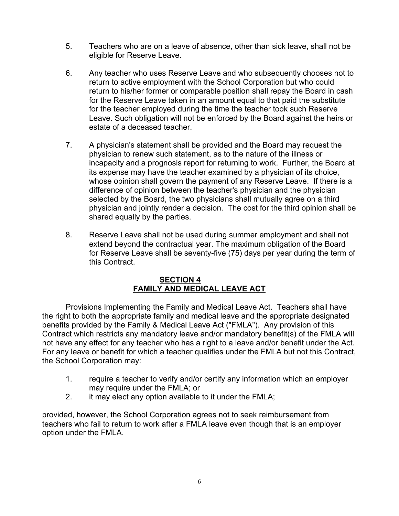- 5. Teachers who are on a leave of absence, other than sick leave, shall not be eligible for Reserve Leave.
- 6. Any teacher who uses Reserve Leave and who subsequently chooses not to return to active employment with the School Corporation but who could return to his/her former or comparable position shall repay the Board in cash for the Reserve Leave taken in an amount equal to that paid the substitute for the teacher employed during the time the teacher took such Reserve Leave. Such obligation will not be enforced by the Board against the heirs or estate of a deceased teacher.
- 7. A physician's statement shall be provided and the Board may request the physician to renew such statement, as to the nature of the illness or incapacity and a prognosis report for returning to work. Further, the Board at its expense may have the teacher examined by a physician of its choice, whose opinion shall govern the payment of any Reserve Leave. If there is a difference of opinion between the teacher's physician and the physician selected by the Board, the two physicians shall mutually agree on a third physician and jointly render a decision. The cost for the third opinion shall be shared equally by the parties.
- 8. Reserve Leave shall not be used during summer employment and shall not extend beyond the contractual year. The maximum obligation of the Board for Reserve Leave shall be seventy-five (75) days per year during the term of this Contract.

#### **SECTION 4 FAMILY AND MEDICAL LEAVE ACT**

Provisions Implementing the Family and Medical Leave Act. Teachers shall have the right to both the appropriate family and medical leave and the appropriate designated benefits provided by the Family & Medical Leave Act ("FMLA"). Any provision of this Contract which restricts any mandatory leave and/or mandatory benefit(s) of the FMLA will not have any effect for any teacher who has a right to a leave and/or benefit under the Act. For any leave or benefit for which a teacher qualifies under the FMLA but not this Contract, the School Corporation may:

- 1. require a teacher to verify and/or certify any information which an employer may require under the FMLA; or
- 2. it may elect any option available to it under the FMLA;

provided, however, the School Corporation agrees not to seek reimbursement from teachers who fail to return to work after a FMLA leave even though that is an employer option under the FMLA.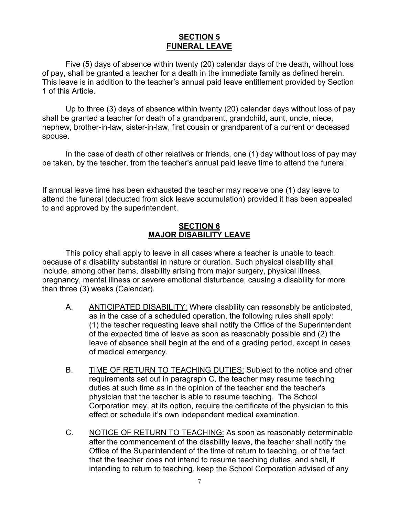# **SECTION 5 FUNERAL LEAVE**

Five (5) days of absence within twenty (20) calendar days of the death, without loss of pay, shall be granted a teacher for a death in the immediate family as defined herein. This leave is in addition to the teacher's annual paid leave entitlement provided by Section 1 of this Article.

Up to three (3) days of absence within twenty (20) calendar days without loss of pay shall be granted a teacher for death of a grandparent, grandchild, aunt, uncle, niece, nephew, brother-in-law, sister-in-law, first cousin or grandparent of a current or deceased spouse.

In the case of death of other relatives or friends, one (1) day without loss of pay may be taken, by the teacher, from the teacher's annual paid leave time to attend the funeral.

If annual leave time has been exhausted the teacher may receive one (1) day leave to attend the funeral (deducted from sick leave accumulation) provided it has been appealed to and approved by the superintendent.

#### **SECTION 6 MAJOR DISABILITY LEAVE**

This policy shall apply to leave in all cases where a teacher is unable to teach because of a disability substantial in nature or duration. Such physical disability shall include, among other items, disability arising from major surgery, physical illness, pregnancy, mental illness or severe emotional disturbance, causing a disability for more than three (3) weeks (Calendar).

- A. ANTICIPATED DISABILITY: Where disability can reasonably be anticipated, as in the case of a scheduled operation, the following rules shall apply: (1) the teacher requesting leave shall notify the Office of the Superintendent of the expected time of leave as soon as reasonably possible and (2) the leave of absence shall begin at the end of a grading period, except in cases of medical emergency.
- B. TIME OF RETURN TO TEACHING DUTIES: Subject to the notice and other requirements set out in paragraph C, the teacher may resume teaching duties at such time as in the opinion of the teacher and the teacher's physician that the teacher is able to resume teaching. The School Corporation may, at its option, require the certificate of the physician to this effect or schedule it's own independent medical examination.
- C. NOTICE OF RETURN TO TEACHING: As soon as reasonably determinable after the commencement of the disability leave, the teacher shall notify the Office of the Superintendent of the time of return to teaching, or of the fact that the teacher does not intend to resume teaching duties, and shall, if intending to return to teaching, keep the School Corporation advised of any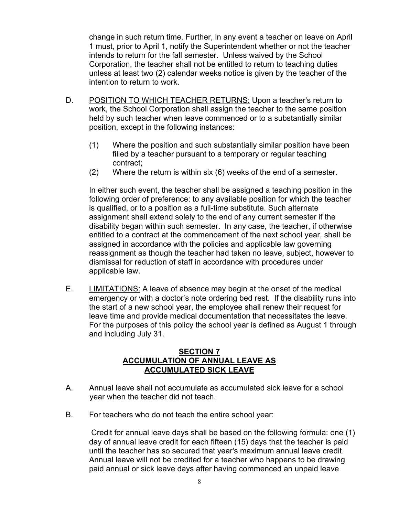change in such return time. Further, in any event a teacher on leave on April 1 must, prior to April 1, notify the Superintendent whether or not the teacher intends to return for the fall semester. Unless waived by the School Corporation, the teacher shall not be entitled to return to teaching duties unless at least two (2) calendar weeks notice is given by the teacher of the intention to return to work.

- D. POSITION TO WHICH TEACHER RETURNS: Upon a teacher's return to work, the School Corporation shall assign the teacher to the same position held by such teacher when leave commenced or to a substantially similar position, except in the following instances:
	- (1) Where the position and such substantially similar position have been filled by a teacher pursuant to a temporary or regular teaching contract;
	- (2) Where the return is within six (6) weeks of the end of a semester.

In either such event, the teacher shall be assigned a teaching position in the following order of preference: to any available position for which the teacher is qualified, or to a position as a full-time substitute. Such alternate assignment shall extend solely to the end of any current semester if the disability began within such semester. In any case, the teacher, if otherwise entitled to a contract at the commencement of the next school year, shall be assigned in accordance with the policies and applicable law governing reassignment as though the teacher had taken no leave, subject, however to dismissal for reduction of staff in accordance with procedures under applicable law.

E. LIMITATIONS: A leave of absence may begin at the onset of the medical emergency or with a doctor's note ordering bed rest. If the disability runs into the start of a new school year, the employee shall renew their request for leave time and provide medical documentation that necessitates the leave. For the purposes of this policy the school year is defined as August 1 through and including July 31.

# **SECTION 7 ACCUMULATION OF ANNUAL LEAVE AS ACCUMULATED SICK LEAVE**

- A. Annual leave shall not accumulate as accumulated sick leave for a school year when the teacher did not teach.
- B. For teachers who do not teach the entire school year:

Credit for annual leave days shall be based on the following formula: one (1) day of annual leave credit for each fifteen (15) days that the teacher is paid until the teacher has so secured that year's maximum annual leave credit. Annual leave will not be credited for a teacher who happens to be drawing paid annual or sick leave days after having commenced an unpaid leave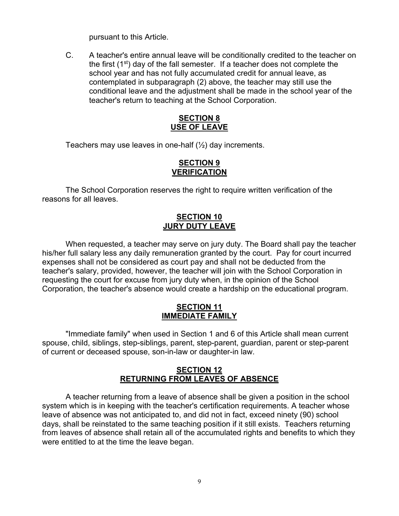pursuant to this Article.

C. A teacher's entire annual leave will be conditionally credited to the teacher on the first  $(1<sup>st</sup>)$  day of the fall semester. If a teacher does not complete the school year and has not fully accumulated credit for annual leave, as contemplated in subparagraph (2) above, the teacher may still use the conditional leave and the adjustment shall be made in the school year of the teacher's return to teaching at the School Corporation.

#### **SECTION 8 USE OF LEAVE**

Teachers may use leaves in one-half  $(\frac{1}{2})$  day increments.

#### **SECTION 9 VERIFICATION**

The School Corporation reserves the right to require written verification of the reasons for all leaves.

# **SECTION 10 JURY DUTY LEAVE**

When requested, a teacher may serve on jury duty. The Board shall pay the teacher his/her full salary less any daily remuneration granted by the court. Pay for court incurred expenses shall not be considered as court pay and shall not be deducted from the teacher's salary, provided, however, the teacher will join with the School Corporation in requesting the court for excuse from jury duty when, in the opinion of the School Corporation, the teacher's absence would create a hardship on the educational program.

#### **SECTION 11 IMMEDIATE FAMILY**

"Immediate family" when used in Section 1 and 6 of this Article shall mean current spouse, child, siblings, step-siblings, parent, step-parent, guardian, parent or step-parent of current or deceased spouse, son-in-law or daughter-in law.

#### **SECTION 12 RETURNING FROM LEAVES OF ABSENCE**

A teacher returning from a leave of absence shall be given a position in the school system which is in keeping with the teacher's certification requirements. A teacher whose leave of absence was not anticipated to, and did not in fact, exceed ninety (90) school days, shall be reinstated to the same teaching position if it still exists. Teachers returning from leaves of absence shall retain all of the accumulated rights and benefits to which they were entitled to at the time the leave began.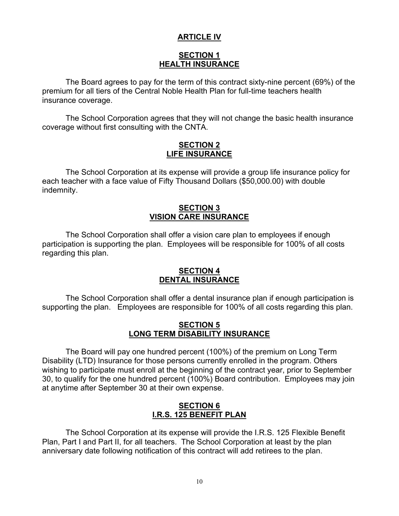# **ARTICLE IV**

# **SECTION 1 HEALTH INSURANCE**

The Board agrees to pay for the term of this contract sixty-nine percent (69%) of the premium for all tiers of the Central Noble Health Plan for full-time teachers health insurance coverage.

The School Corporation agrees that they will not change the basic health insurance coverage without first consulting with the CNTA.

#### **SECTION 2 LIFE INSURANCE**

The School Corporation at its expense will provide a group life insurance policy for each teacher with a face value of Fifty Thousand Dollars (\$50,000.00) with double indemnity.

# **SECTION 3 VISION CARE INSURANCE**

The School Corporation shall offer a vision care plan to employees if enough participation is supporting the plan. Employees will be responsible for 100% of all costs regarding this plan.

#### **SECTION 4 DENTAL INSURANCE**

The School Corporation shall offer a dental insurance plan if enough participation is supporting the plan. Employees are responsible for 100% of all costs regarding this plan.

#### **SECTION 5 LONG TERM DISABILITY INSURANCE**

The Board will pay one hundred percent (100%) of the premium on Long Term Disability (LTD) Insurance for those persons currently enrolled in the program. Others wishing to participate must enroll at the beginning of the contract year, prior to September 30, to qualify for the one hundred percent (100%) Board contribution. Employees may join at anytime after September 30 at their own expense.

#### **SECTION 6 I.R.S. 125 BENEFIT PLAN**

The School Corporation at its expense will provide the I.R.S. 125 Flexible Benefit Plan, Part I and Part II, for all teachers. The School Corporation at least by the plan anniversary date following notification of this contract will add retirees to the plan.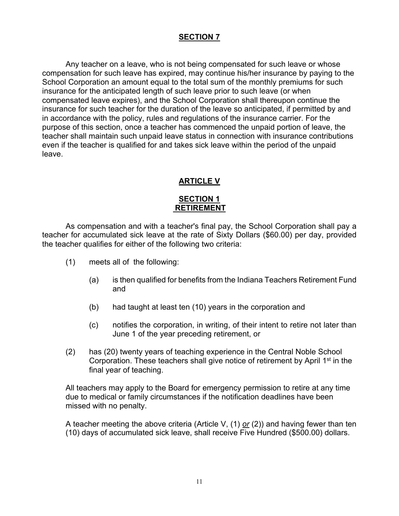# **SECTION 7**

Any teacher on a leave, who is not being compensated for such leave or whose compensation for such leave has expired, may continue his/her insurance by paying to the School Corporation an amount equal to the total sum of the monthly premiums for such insurance for the anticipated length of such leave prior to such leave (or when compensated leave expires), and the School Corporation shall thereupon continue the insurance for such teacher for the duration of the leave so anticipated, if permitted by and in accordance with the policy, rules and regulations of the insurance carrier. For the purpose of this section, once a teacher has commenced the unpaid portion of leave, the teacher shall maintain such unpaid leave status in connection with insurance contributions even if the teacher is qualified for and takes sick leave within the period of the unpaid leave.

# **ARTICLE V**

#### **SECTION 1 RETIREMENT**

As compensation and with a teacher's final pay, the School Corporation shall pay a teacher for accumulated sick leave at the rate of Sixty Dollars (\$60.00) per day, provided the teacher qualifies for either of the following two criteria:

- (1) meets all of the following:
	- (a) is then qualified for benefits from the Indiana Teachers Retirement Fund and
	- (b) had taught at least ten (10) years in the corporation and
	- (c) notifies the corporation, in writing, of their intent to retire not later than June 1 of the year preceding retirement, or
- (2) has (20) twenty years of teaching experience in the Central Noble School Corporation. These teachers shall give notice of retirement by April 1<sup>st</sup> in the final year of teaching.

All teachers may apply to the Board for emergency permission to retire at any time due to medical or family circumstances if the notification deadlines have been missed with no penalty.

A teacher meeting the above criteria (Article V, (1) *or* (2)) and having fewer than ten (10) days of accumulated sick leave, shall receive Five Hundred (\$500.00) dollars.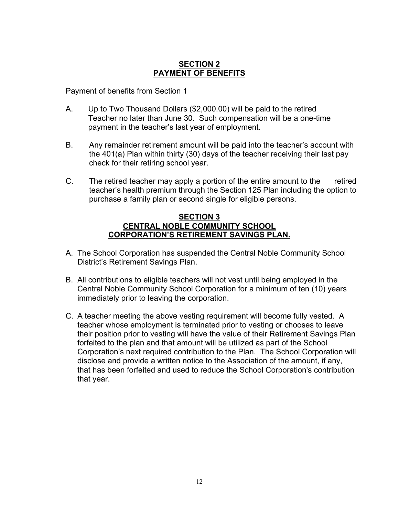# **SECTION 2 PAYMENT OF BENEFITS**

Payment of benefits from Section 1

- A. Up to Two Thousand Dollars (\$2,000.00) will be paid to the retired Teacher no later than June 30. Such compensation will be a one-time payment in the teacher's last year of employment.
- B. Any remainder retirement amount will be paid into the teacher's account with the 401(a) Plan within thirty (30) days of the teacher receiving their last pay check for their retiring school year.
- C. The retired teacher may apply a portion of the entire amount to the retired teacher's health premium through the Section 125 Plan including the option to purchase a family plan or second single for eligible persons.

#### **SECTION 3 CENTRAL NOBLE COMMUNITY SCHOOL CORPORATION'S RETIREMENT SAVINGS PLAN.**

- A. The School Corporation has suspended the Central Noble Community School District's Retirement Savings Plan.
- B. All contributions to eligible teachers will not vest until being employed in the Central Noble Community School Corporation for a minimum of ten (10) years immediately prior to leaving the corporation.
- C. A teacher meeting the above vesting requirement will become fully vested. A teacher whose employment is terminated prior to vesting or chooses to leave their position prior to vesting will have the value of their Retirement Savings Plan forfeited to the plan and that amount will be utilized as part of the School Corporation's next required contribution to the Plan. The School Corporation will disclose and provide a written notice to the Association of the amount, if any, that has been forfeited and used to reduce the School Corporation's contribution that year.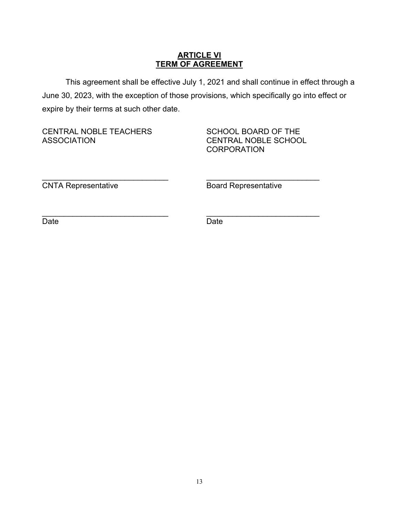# **ARTICLE VI TERM OF AGREEMENT**

This agreement shall be effective July 1, 2021 and shall continue in effect through a June 30, 2023, with the exception of those provisions, which specifically go into effect or expire by their terms at such other date.

CENTRAL NOBLE TEACHERS SCHOOL BOARD OF THE ASSOCIATION CENTRAL NOBLE SCHOOL

**CORPORATION** 

\_\_\_\_\_\_\_\_\_\_\_\_\_\_\_\_\_\_\_\_\_\_\_\_\_\_\_\_\_ \_\_\_\_\_\_\_\_\_\_\_\_\_\_\_\_\_\_\_\_\_\_\_\_\_\_ **CNTA Representative CNTA Representative** 

Date **Date Date Date Date** 

 $\overline{\phantom{a}}$  , and the contribution of the contribution of  $\overline{\phantom{a}}$  , and  $\overline{\phantom{a}}$  , and  $\overline{\phantom{a}}$  , and  $\overline{\phantom{a}}$  , and  $\overline{\phantom{a}}$  , and  $\overline{\phantom{a}}$  , and  $\overline{\phantom{a}}$  , and  $\overline{\phantom{a}}$  , and  $\overline{\phantom{a}}$  , and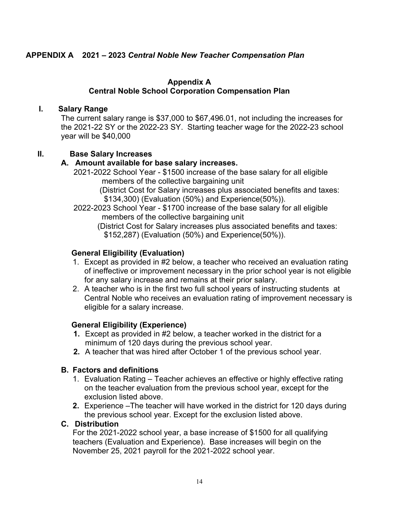# **APPENDIX A 2021 – 2023** *Central Noble New Teacher Compensation Plan*

#### **Appendix A**

# **Central Noble School Corporation Compensation Plan**

#### **I. Salary Range**

The current salary range is \$37,000 to \$67,496.01, not including the increases for the 2021-22 SY or the 2022-23 SY. Starting teacher wage for the 2022-23 school year will be \$40,000

#### **II. Base Salary Increases**

#### **A. Amount available for base salary increases.**

 2021-2022 School Year - \$1500 increase of the base salary for all eligible members of the collective bargaining unit

> (District Cost for Salary increases plus associated benefits and taxes: \$134,300) (Evaluation (50%) and Experience(50%)).

 2022-2023 School Year - \$1700 increase of the base salary for all eligible members of the collective bargaining unit

 (District Cost for Salary increases plus associated benefits and taxes: \$152,287) (Evaluation (50%) and Experience(50%)).

#### **General Eligibility (Evaluation)**

- 1. Except as provided in #2 below, a teacher who received an evaluation rating of ineffective or improvement necessary in the prior school year is not eligible for any salary increase and remains at their prior salary.
- 2. A teacher who is in the first two full school years of instructing students at Central Noble who receives an evaluation rating of improvement necessary is eligible for a salary increase.

#### **General Eligibility (Experience)**

- **1.** Except as provided in #2 below, a teacher worked in the district for a minimum of 120 days during the previous school year.
- **2.** A teacher that was hired after October 1 of the previous school year.

#### **B. Factors and definitions**

- 1. Evaluation Rating Teacher achieves an effective or highly effective rating on the teacher evaluation from the previous school year, except for the exclusion listed above.
- **2.** Experience –The teacher will have worked in the district for 120 days during the previous school year. Except for the exclusion listed above.

#### **C. Distribution**

For the 2021-2022 school year, a base increase of \$1500 for all qualifying teachers (Evaluation and Experience). Base increases will begin on the November 25, 2021 payroll for the 2021-2022 school year.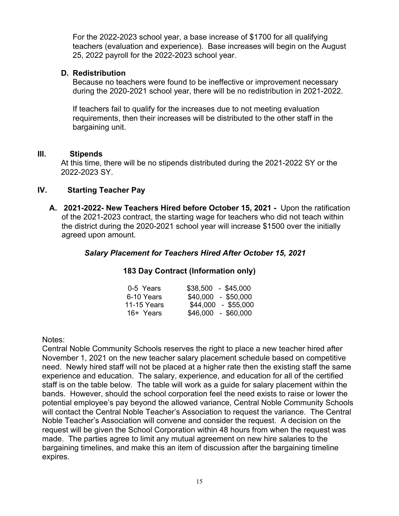For the 2022-2023 school year, a base increase of \$1700 for all qualifying teachers (evaluation and experience). Base increases will begin on the August 25, 2022 payroll for the 2022-2023 school year.

# **D. Redistribution**

Because no teachers were found to be ineffective or improvement necessary during the 2020-2021 school year, there will be no redistribution in 2021-2022.

If teachers fail to qualify for the increases due to not meeting evaluation requirements, then their increases will be distributed to the other staff in the bargaining unit.

#### **III. Stipends**

At this time, there will be no stipends distributed during the 2021-2022 SY or the 2022-2023 SY.

# **IV. Starting Teacher Pay**

**A. 2021-2022- New Teachers Hired before October 15, 2021 -** Upon the ratification of the 2021-2023 contract, the starting wage for teachers who did not teach within the district during the 2020-2021 school year will increase \$1500 over the initially agreed upon amount.

# *Salary Placement for Teachers Hired After October 15, 2021*

# **183 Day Contract (Information only)**

| 0-5 Years   | $$38,500 - $45,000$ |
|-------------|---------------------|
| 6-10 Years  | $$40,000 - $50,000$ |
| 11-15 Years | \$44,000 - \$55,000 |
| 16+ Years   | $$46,000 - $60,000$ |

Notes:

Central Noble Community Schools reserves the right to place a new teacher hired after November 1, 2021 on the new teacher salary placement schedule based on competitive need. Newly hired staff will not be placed at a higher rate then the existing staff the same experience and education. The salary, experience, and education for all of the certified staff is on the table below. The table will work as a guide for salary placement within the bands. However, should the school corporation feel the need exists to raise or lower the potential employee's pay beyond the allowed variance, Central Noble Community Schools will contact the Central Noble Teacher's Association to request the variance. The Central Noble Teacher's Association will convene and consider the request. A decision on the request will be given the School Corporation within 48 hours from when the request was made. The parties agree to limit any mutual agreement on new hire salaries to the bargaining timelines, and make this an item of discussion after the bargaining timeline expires.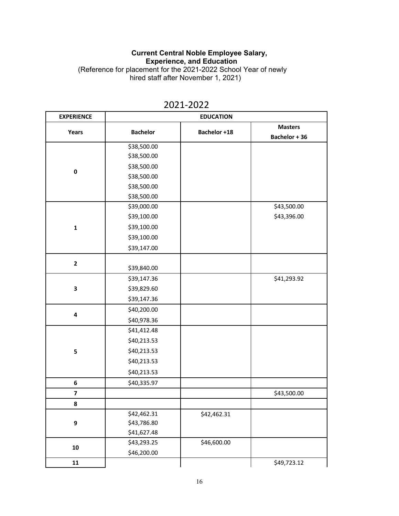#### **Current Central Noble Employee Salary, Experience, and Education** (Reference for placement for the 2021-2022 School Year of newly

hired staff after November 1, 2021)

| <b>EXPERIENCE</b> | <b>EDUCATION</b> |                     |                |
|-------------------|------------------|---------------------|----------------|
|                   |                  | <b>Bachelor +18</b> | <b>Masters</b> |
| Years             | <b>Bachelor</b>  |                     | Bachelor + 36  |
|                   | \$38,500.00      |                     |                |
|                   | \$38,500.00      |                     |                |
| 0                 | \$38,500.00      |                     |                |
|                   | \$38,500.00      |                     |                |
|                   | \$38,500.00      |                     |                |
|                   | \$38,500.00      |                     |                |
|                   | \$39,000.00      |                     | \$43,500.00    |
|                   | \$39,100.00      |                     | \$43,396.00    |
| $\mathbf 1$       | \$39,100.00      |                     |                |
|                   | \$39,100.00      |                     |                |
|                   | \$39,147.00      |                     |                |
| $\overline{2}$    |                  |                     |                |
|                   | \$39,840.00      |                     |                |
|                   | \$39,147.36      |                     | \$41,293.92    |
| 3                 | \$39,829.60      |                     |                |
|                   | \$39,147.36      |                     |                |
|                   | \$40,200.00      |                     |                |
| 4                 | \$40,978.36      |                     |                |
|                   | \$41,412.48      |                     |                |
|                   | \$40,213.53      |                     |                |
| 5                 | \$40,213.53      |                     |                |
|                   | \$40,213.53      |                     |                |
|                   | \$40,213.53      |                     |                |
| 6                 | \$40,335.97      |                     |                |
| 7                 |                  |                     | \$43,500.00    |
| 8                 |                  |                     |                |
|                   | \$42,462.31      | \$42,462.31         |                |
| 9                 | \$43,786.80      |                     |                |
|                   | \$41,627.48      |                     |                |
| ${\bf 10}$        | \$43,293.25      | \$46,600.00         |                |
|                   | \$46,200.00      |                     |                |
| 11                |                  |                     | \$49,723.12    |

# 2021-2022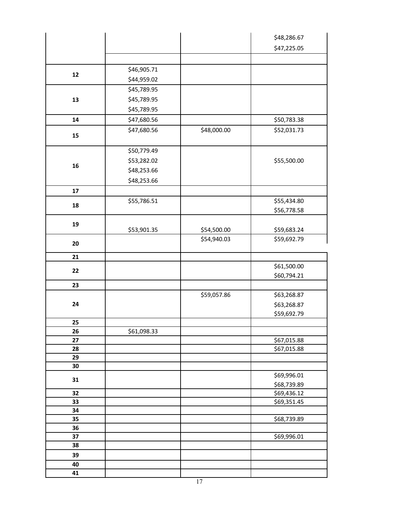|          |             |             | \$48,286.67                |
|----------|-------------|-------------|----------------------------|
|          |             |             | \$47,225.05                |
|          |             |             |                            |
|          | \$46,905.71 |             |                            |
| $12\,$   | \$44,959.02 |             |                            |
|          | \$45,789.95 |             |                            |
| 13       | \$45,789.95 |             |                            |
|          | \$45,789.95 |             |                            |
|          |             |             |                            |
| 14       | \$47,680.56 |             | \$50,783.38                |
| 15       | \$47,680.56 | \$48,000.00 | \$52,031.73                |
|          |             |             |                            |
|          | \$50,779.49 |             |                            |
| 16       | \$53,282.02 |             | \$55,500.00                |
|          | \$48,253.66 |             |                            |
|          | \$48,253.66 |             |                            |
| $17\,$   |             |             |                            |
| 18       | \$55,786.51 |             | \$55,434.80                |
|          |             |             | \$56,778.58                |
| 19       |             |             |                            |
|          | \$53,901.35 | \$54,500.00 | \$59,683.24                |
| 20       |             | \$54,940.03 | \$59,692.79                |
|          |             |             |                            |
| 21       |             |             |                            |
| 22       |             |             | \$61,500.00                |
|          |             |             | \$60,794.21                |
| 23       |             |             |                            |
|          |             | \$59,057.86 | \$63,268.87                |
| 24       |             |             | \$63,268.87                |
|          |             |             | \$59,692.79                |
| 25       |             |             |                            |
| 26       | \$61,098.33 |             |                            |
| 27<br>28 |             |             | \$67,015.88<br>\$67,015.88 |
| 29       |             |             |                            |
| 30       |             |             |                            |
|          |             |             | \$69,996.01                |
| 31       |             |             | \$68,739.89                |
| 32       |             |             | \$69,436.12                |
| 33       |             |             | \$69,351.45                |
| 34       |             |             |                            |
| 35       |             |             | \$68,739.89                |
| 36       |             |             |                            |
| 37       |             |             | \$69,996.01                |
| 38       |             |             |                            |
| 39       |             |             |                            |
| 40       |             |             |                            |
| 41       |             |             |                            |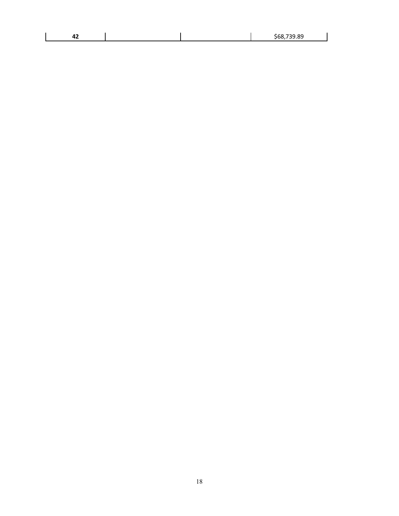| - -<br>- - |  | oc |
|------------|--|----|
|            |  |    |

 $\mathbf{L}$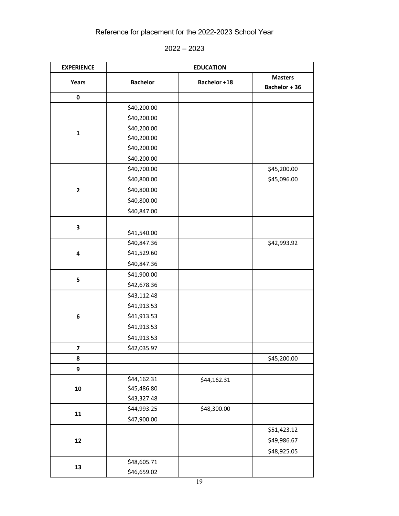# Reference for placement for the 2022-2023 School Year

| 2022 | 2023 |
|------|------|
|------|------|

| <b>EXPERIENCE</b>       | <b>EDUCATION</b> |              |                |  |  |
|-------------------------|------------------|--------------|----------------|--|--|
| Years                   | <b>Bachelor</b>  | Bachelor +18 | <b>Masters</b> |  |  |
|                         |                  |              | Bachelor + 36  |  |  |
| $\pmb{0}$               |                  |              |                |  |  |
|                         | \$40,200.00      |              |                |  |  |
|                         | \$40,200.00      |              |                |  |  |
| $\mathbf{1}$            | \$40,200.00      |              |                |  |  |
|                         | \$40,200.00      |              |                |  |  |
|                         | \$40,200.00      |              |                |  |  |
|                         | \$40,200.00      |              |                |  |  |
|                         | \$40,700.00      |              | \$45,200.00    |  |  |
|                         | \$40,800.00      |              | \$45,096.00    |  |  |
| $\mathbf{2}$            | \$40,800.00      |              |                |  |  |
|                         | \$40,800.00      |              |                |  |  |
|                         | \$40,847.00      |              |                |  |  |
|                         |                  |              |                |  |  |
| 3                       | \$41,540.00      |              |                |  |  |
|                         | \$40,847.36      |              | \$42,993.92    |  |  |
| 4                       | \$41,529.60      |              |                |  |  |
|                         | \$40,847.36      |              |                |  |  |
|                         | \$41,900.00      |              |                |  |  |
| 5                       | \$42,678.36      |              |                |  |  |
|                         | \$43,112.48      |              |                |  |  |
|                         | \$41,913.53      |              |                |  |  |
| 6                       | \$41,913.53      |              |                |  |  |
|                         | \$41,913.53      |              |                |  |  |
|                         | \$41,913.53      |              |                |  |  |
| $\overline{\mathbf{z}}$ | \$42,035.97      |              |                |  |  |
| 8                       |                  |              | \$45,200.00    |  |  |
| 9                       |                  |              |                |  |  |
|                         | \$44,162.31      | \$44,162.31  |                |  |  |
| 10                      | \$45,486.80      |              |                |  |  |
|                         | \$43,327.48      |              |                |  |  |
|                         | \$44,993.25      | \$48,300.00  |                |  |  |
| 11                      | \$47,900.00      |              |                |  |  |
|                         |                  |              | \$51,423.12    |  |  |
| 12                      |                  |              | \$49,986.67    |  |  |
|                         |                  |              | \$48,925.05    |  |  |
|                         | \$48,605.71      |              |                |  |  |
| 13                      | \$46,659.02      |              |                |  |  |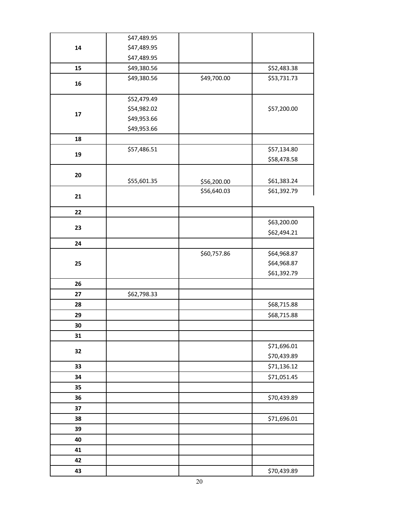|    | \$47,489.95 |             |             |
|----|-------------|-------------|-------------|
| 14 | \$47,489.95 |             |             |
|    | \$47,489.95 |             |             |
| 15 | \$49,380.56 |             | \$52,483.38 |
|    | \$49,380.56 | \$49,700.00 | \$53,731.73 |
| 16 |             |             |             |
|    | \$52,479.49 |             |             |
| 17 | \$54,982.02 |             | \$57,200.00 |
|    | \$49,953.66 |             |             |
|    | \$49,953.66 |             |             |
| 18 |             |             |             |
| 19 | \$57,486.51 |             | \$57,134.80 |
|    |             |             | \$58,478.58 |
| 20 |             |             |             |
|    | \$55,601.35 | \$56,200.00 | \$61,383.24 |
| 21 |             | \$56,640.03 | \$61,392.79 |
|    |             |             |             |
| 22 |             |             |             |
| 23 |             |             | \$63,200.00 |
|    |             |             | \$62,494.21 |
| 24 |             |             |             |
|    |             | \$60,757.86 | \$64,968.87 |
| 25 |             |             | \$64,968.87 |
|    |             |             | \$61,392.79 |
| 26 |             |             |             |
| 27 | \$62,798.33 |             |             |
| 28 |             |             | \$68,715.88 |
| 29 |             |             | \$68,715.88 |
| 30 |             |             |             |
| 31 |             |             |             |
| 32 |             |             | \$71,696.01 |
|    |             |             | \$70,439.89 |
| 33 |             |             | \$71,136.12 |
| 34 |             |             | \$71,051.45 |
| 35 |             |             |             |
| 36 |             |             | \$70,439.89 |
| 37 |             |             |             |
| 38 |             |             | \$71,696.01 |
| 39 |             |             |             |
| 40 |             |             |             |
| 41 |             |             |             |
| 42 |             |             |             |
| 43 |             |             | \$70,439.89 |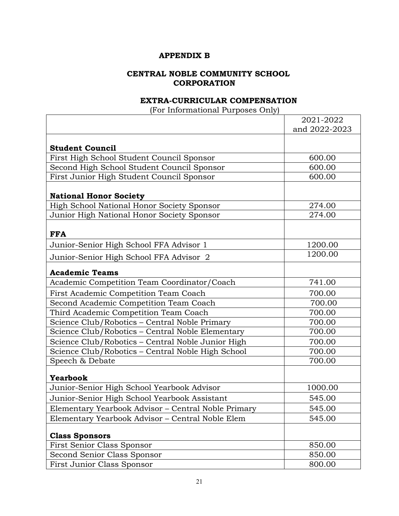#### **APPENDIX B**

# **CENTRAL NOBLE COMMUNITY SCHOOL CORPORATION**

#### **EXTRA-CURRICULAR COMPENSATION**

(For Informational Purposes Only)

|                                                     | 2021-2022     |
|-----------------------------------------------------|---------------|
|                                                     | and 2022-2023 |
|                                                     |               |
| <b>Student Council</b>                              |               |
| First High School Student Council Sponsor           | 600.00        |
| Second High School Student Council Sponsor          | 600.00        |
| First Junior High Student Council Sponsor           | 600.00        |
|                                                     |               |
| <b>National Honor Society</b>                       |               |
| High School National Honor Society Sponsor          | 274.00        |
| Junior High National Honor Society Sponsor          | 274.00        |
|                                                     |               |
| <b>FFA</b>                                          |               |
| Junior-Senior High School FFA Advisor 1             | 1200.00       |
| Junior-Senior High School FFA Advisor 2             | 1200.00       |
| <b>Academic Teams</b>                               |               |
| Academic Competition Team Coordinator/Coach         | 741.00        |
| First Academic Competition Team Coach               | 700.00        |
| Second Academic Competition Team Coach              | 700.00        |
| Third Academic Competition Team Coach               | 700.00        |
| Science Club/Robotics - Central Noble Primary       | 700.00        |
| Science Club/Robotics - Central Noble Elementary    | 700.00        |
| Science Club/Robotics - Central Noble Junior High   | 700.00        |
| Science Club/Robotics - Central Noble High School   | 700.00        |
| Speech & Debate                                     | 700.00        |
| <b>Yearbook</b>                                     |               |
| Junior-Senior High School Yearbook Advisor          | 1000.00       |
| Junior-Senior High School Yearbook Assistant        | 545.00        |
| Elementary Yearbook Advisor - Central Noble Primary | 545.00        |
| Elementary Yearbook Advisor – Central Noble Elem    | 545.00        |
|                                                     |               |
| <b>Class Sponsors</b>                               |               |
| <b>First Senior Class Sponsor</b>                   | 850.00        |
| Second Senior Class Sponsor                         | 850.00        |
| First Junior Class Sponsor                          | 800.00        |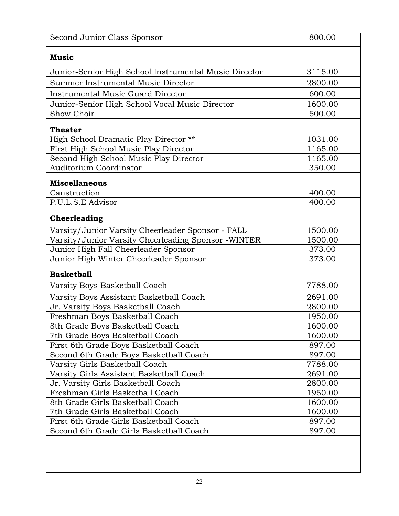| Second Junior Class Sponsor                           | 800.00  |
|-------------------------------------------------------|---------|
| <b>Music</b>                                          |         |
| Junior-Senior High School Instrumental Music Director | 3115.00 |
| Summer Instrumental Music Director                    | 2800.00 |
| <b>Instrumental Music Guard Director</b>              | 600.00  |
| Junior-Senior High School Vocal Music Director        | 1600.00 |
| Show Choir                                            | 500.00  |
| <b>Theater</b>                                        |         |
| High School Dramatic Play Director **                 | 1031.00 |
| First High School Music Play Director                 | 1165.00 |
| Second High School Music Play Director                | 1165.00 |
| <b>Auditorium Coordinator</b>                         | 350.00  |
|                                                       |         |
| <b>Miscellaneous</b><br>Canstruction                  | 400.00  |
| P.U.L.S.E Advisor                                     | 400.00  |
|                                                       |         |
| Cheerleading                                          |         |
| Varsity/Junior Varsity Cheerleader Sponsor - FALL     | 1500.00 |
| Varsity/Junior Varsity Cheerleading Sponsor -WINTER   | 1500.00 |
| Junior High Fall Cheerleader Sponsor                  | 373.00  |
| Junior High Winter Cheerleader Sponsor                | 373.00  |
| <b>Basketball</b>                                     |         |
| Varsity Boys Basketball Coach                         | 7788.00 |
| Varsity Boys Assistant Basketball Coach               | 2691.00 |
| Jr. Varsity Boys Basketball Coach                     | 2800.00 |
| Freshman Boys Basketball Coach                        | 1950.00 |
| 8th Grade Boys Basketball Coach                       | 1600.00 |
| 7th Grade Boys Basketball Coach                       | 1600.00 |
| First 6th Grade Boys Basketball Coach                 | 897.00  |
| Second 6th Grade Boys Basketball Coach                | 897.00  |
| Varsity Girls Basketball Coach                        | 7788.00 |
| Varsity Girls Assistant Basketball Coach              | 2691.00 |
| Jr. Varsity Girls Basketball Coach                    | 2800.00 |
| Freshman Girls Basketball Coach                       | 1950.00 |
| 8th Grade Girls Basketball Coach                      | 1600.00 |
| 7th Grade Girls Basketball Coach                      | 1600.00 |
| First 6th Grade Girls Basketball Coach                | 897.00  |
| Second 6th Grade Girls Basketball Coach               | 897.00  |
|                                                       |         |
|                                                       |         |
|                                                       |         |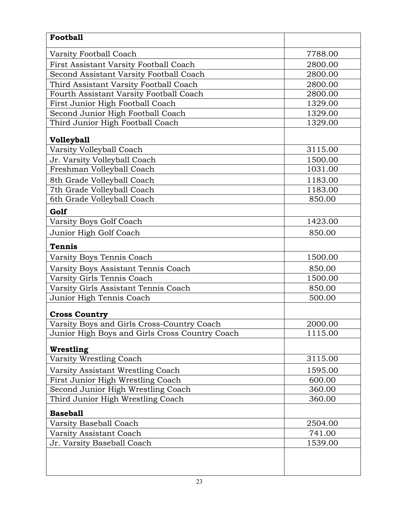| <b>Football</b>                                |         |
|------------------------------------------------|---------|
| Varsity Football Coach                         | 7788.00 |
| First Assistant Varsity Football Coach         | 2800.00 |
| Second Assistant Varsity Football Coach        | 2800.00 |
| Third Assistant Varsity Football Coach         | 2800.00 |
| Fourth Assistant Varsity Football Coach        | 2800.00 |
| First Junior High Football Coach               | 1329.00 |
| Second Junior High Football Coach              | 1329.00 |
| Third Junior High Football Coach               | 1329.00 |
| <b>Volleyball</b>                              |         |
| Varsity Volleyball Coach                       | 3115.00 |
| Jr. Varsity Volleyball Coach                   | 1500.00 |
| Freshman Volleyball Coach                      | 1031.00 |
| 8th Grade Volleyball Coach                     | 1183.00 |
| 7th Grade Volleyball Coach                     | 1183.00 |
| 6th Grade Volleyball Coach                     | 850.00  |
| Golf                                           |         |
| Varsity Boys Golf Coach                        | 1423.00 |
| Junior High Golf Coach                         | 850.00  |
| <b>Tennis</b>                                  |         |
| Varsity Boys Tennis Coach                      | 1500.00 |
| Varsity Boys Assistant Tennis Coach            | 850.00  |
| Varsity Girls Tennis Coach                     | 1500.00 |
| Varsity Girls Assistant Tennis Coach           | 850.00  |
| Junior High Tennis Coach                       | 500.00  |
| <b>Cross Country</b>                           |         |
| Varsity Boys and Girls Cross-Country Coach     | 2000.00 |
| Junior High Boys and Girls Cross Country Coach | 1115.00 |
| Wrestling                                      |         |
| Varsity Wrestling Coach                        | 3115.00 |
| Varsity Assistant Wrestling Coach              | 1595.00 |
| First Junior High Wrestling Coach              | 600.00  |
| Second Junior High Wrestling Coach             | 360.00  |
| Third Junior High Wrestling Coach              | 360.00  |
| <b>Baseball</b>                                |         |
| Varsity Baseball Coach                         | 2504.00 |
| Varsity Assistant Coach                        | 741.00  |
| Jr. Varsity Baseball Coach                     | 1539.00 |
|                                                |         |